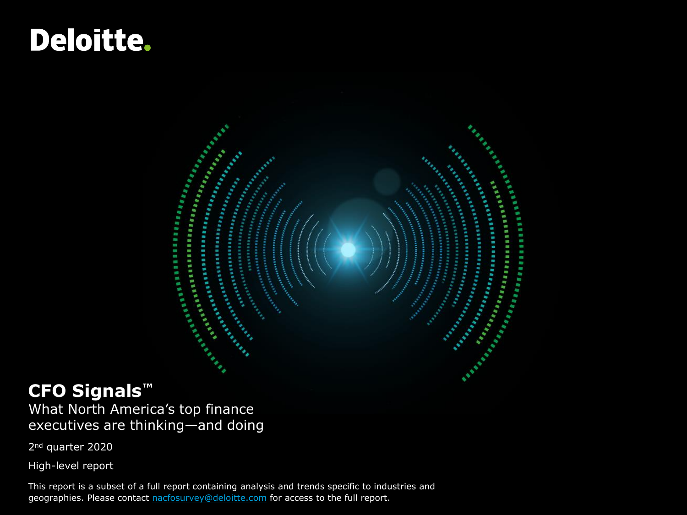## **Deloitte.**

### **CFO Signals™**

What North America's top finance executives are thinking—and doing

2nd quarter 2020

High-level report

This report is a subset of a full report containing analysis and trends specific to industries and geographies. Please contact [nacfosurvey@deloitte.com](mailto:nacfosurvey@deloitte.com) for access to the full report.

Allen Barbara

**Maritime** 

Г. First.

er er er er en de staat de groepe van de groepe van de groepe van de groepe van de groepe van de groepe van de<br>Ekstern de groepe van de groepe van de groepe van de groepe van de groepe van de groepe van de groepe van de g<br>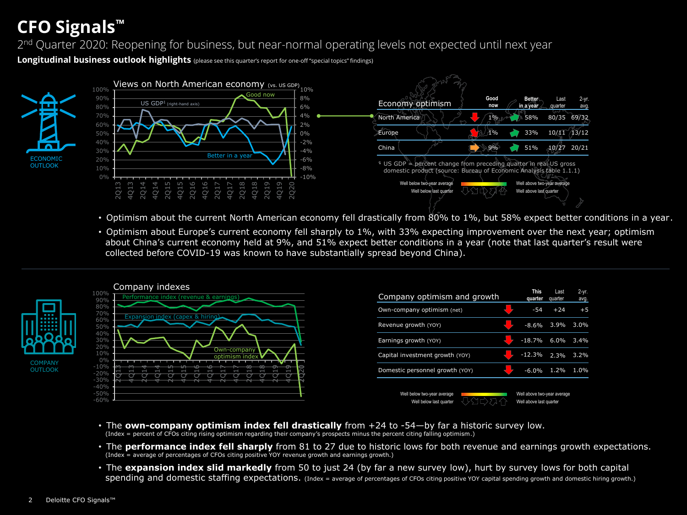### **CFO Signals™**

2<sup>nd</sup> Quarter 2020: Reopening for business, but near-normal operating levels not expected until next year

**Longitudinal business outlook highlights** (please see this quarter's report for one-off "special topics" findings)



- Optimism about the current North American economy fell drastically from 80% to 1%, but 58% expect better conditions in a year.
- Optimism about Europe's current economy fell sharply to 1%, with 33% expecting improvement over the next year; optimism about China's current economy held at 9%, and 51% expect better conditions in a year (note that last quarter's result were collected before COVID-19 was known to have substantially spread beyond China).



- The **own-company optimism index fell drastically** from +24 to -54—by far a historic survey low. (Index = percent of CFOs citing rising optimism regarding their company's prospects minus the percent citing falling optimism.)
- The **performance index fell sharply** from 81 to 27 due to historic lows for both revenue and earnings growth expectations. (Index = average of percentages of CFOs citing positive YOY revenue growth and earnings growth.)
- The **expansion index slid markedly** from 50 to just 24 (by far a new survey low), hurt by survey lows for both capital spending and domestic staffing expectations. (Index = average of percentages of CFOs citing positive YOY capital spending growth and domestic hiring growth.)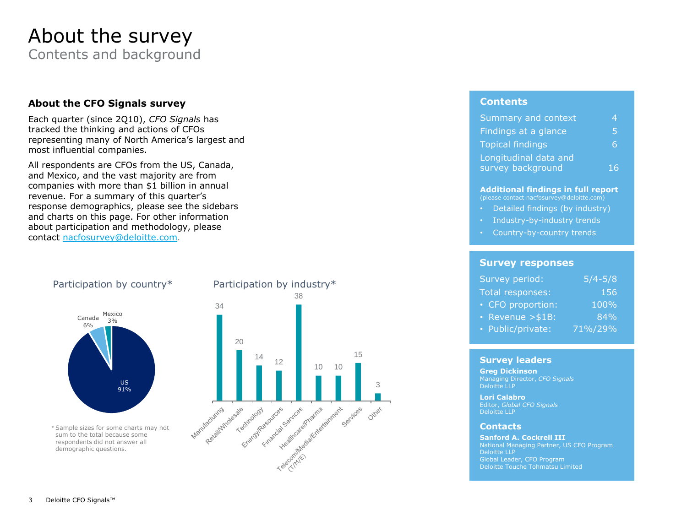## About the survey

Contents and background

#### **About the CFO Signals survey**

Each quarter (since 2Q10), *CFO Signals* has tracked the thinking and actions of CFOs representing many of North America's largest and most influential companies.

All respondents are CFOs from the US, Canada, and Mexico, and the vast majority are from companies with more than \$1 billion in annual revenue. For a summary of this quarter's response demographics, please see the sidebars and charts on this page. For other information about participation and methodology, please contact [nacfosurvey@deloitte.com.](mailto:NACFOSurvey@deloitte.com)



sum to the total because some respondents did not answer all demographic questions.

#### Participation by industry\*



#### **Contents**

| Summary and context     |   |
|-------------------------|---|
| Findings at a glance    | ь |
| <b>Topical findings</b> |   |
| Longitudinal data and   |   |
| survey background       |   |

#### **Additional findings in full report**

(please contact nacfosurvey@deloitte.com)

- Detailed findings (by industry)
- Industry-by-industry trends
- Country-by-country trends

#### **Survey responses**

| Survey period:      | $\sqrt{5/4} - 5/8$ |
|---------------------|--------------------|
| Total responses:    | 156                |
| • CFO proportion:   | 100%               |
| • Revenue $> $1B$ : | 84%                |
| · Public/private:   | 71%/29%            |

#### **Survey leaders**

**Greg Dickinson** Managing Director, *CFO Signals* Deloitte LLP

**Lori Calabro** Editor, *Global CFO Signals* Deloitte LLP

#### **Contacts**

**Sanford A. Cockrell III** National Managing Partner, US CFO Program Deloitte LLP Deloitte Touche Tohmatsu Limited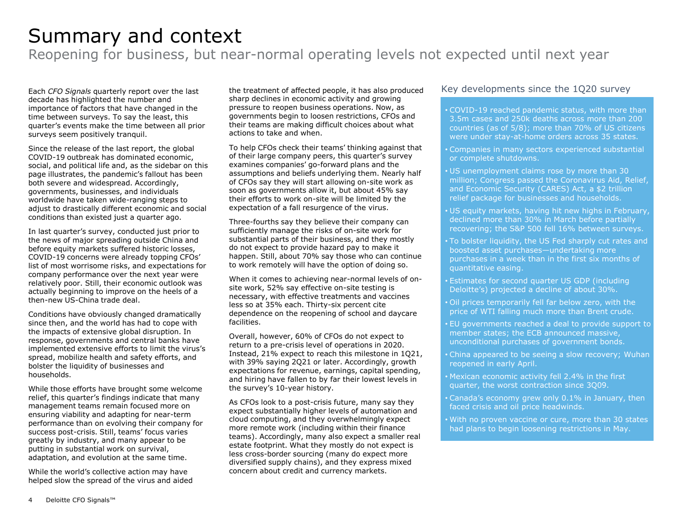### Summary and context

Reopening for business, but near-normal operating levels not expected until next year

Each *CFO Signals* quarterly report over the last decade has highlighted the number and importance of factors that have changed in the time between surveys. To say the least, this quarter's events make the time between all prior surveys seem positively tranquil.

Since the release of the last report, the global COVID-19 outbreak has dominated economic, social, and political life and, as the sidebar on this page illustrates, the pandemic's fallout has been both severe and widespread. Accordingly, governments, businesses, and individuals worldwide have taken wide-ranging steps to adjust to drastically different economic and social conditions than existed just a quarter ago.

In last quarter's survey, conducted just prior to the news of major spreading outside China and before equity markets suffered historic losses, COVID-19 concerns were already topping CFOs' list of most worrisome risks, and expectations for company performance over the next year were relatively poor. Still, their economic outlook was actually beginning to improve on the heels of a then-new US-China trade deal.

Conditions have obviously changed dramatically since then, and the world has had to cope with the impacts of extensive global disruption. In response, governments and central banks have implemented extensive efforts to limit the virus's spread, mobilize health and safety efforts, and bolster the liquidity of businesses and households.

While those efforts have brought some welcome relief, this quarter's findings indicate that many management teams remain focused more on ensuring viability and adapting for near-term performance than on evolving their company for success post-crisis. Still, teams' focus varies greatly by industry, and many appear to be putting in substantial work on survival, adaptation, and evolution at the same time.

While the world's collective action may have helped slow the spread of the virus and aided the treatment of affected people, it has also produced sharp declines in economic activity and growing pressure to reopen business operations. Now, as governments begin to loosen restrictions, CFOs and their teams are making difficult choices about what actions to take and when.

To help CFOs check their teams' thinking against that of their large company peers, this quarter's survey examines companies' go-forward plans and the assumptions and beliefs underlying them. Nearly half of CFOs say they will start allowing on-site work as soon as governments allow it, but about 45% say their efforts to work on-site will be limited by the expectation of a fall resurgence of the virus.

Three-fourths say they believe their company can sufficiently manage the risks of on-site work for substantial parts of their business, and they mostly do not expect to provide hazard pay to make it happen. Still, about 70% say those who can continue to work remotely will have the option of doing so.

When it comes to achieving near-normal levels of onsite work, 52% say effective on-site testing is necessary, with effective treatments and vaccines less so at 35% each. Thirty-six percent cite dependence on the reopening of school and daycare facilities.

Overall, however, 60% of CFOs do not expect to return to a pre-crisis level of operations in 2020. Instead, 21% expect to reach this milestone in 1Q21, with 39% saying 2Q21 or later. Accordingly, growth expectations for revenue, earnings, capital spending, and hiring have fallen to by far their lowest levels in the survey's 10-year history.

As CFOs look to a post-crisis future, many say they expect substantially higher levels of automation and cloud computing, and they overwhelmingly expect more remote work (including within their finance teams). Accordingly, many also expect a smaller real estate footprint. What they mostly do not expect is less cross-border sourcing (many do expect more diversified supply chains), and they express mixed concern about credit and currency markets.

#### Key developments since the 1Q20 survey

• COVID-19 reached pandemic status, with more than 3.5m cases and 250k deaths across more than 200 countries (as of 5/8); more than 70% of US citizens were under stay-at-home orders across 35 states.

- Companies in many sectors experienced substantial or complete shutdowns.
- US unemployment claims rose by more than 30 million; Congress passed the Coronavirus Aid, Relief, and Economic Security (CARES) Act, a \$2 trillion relief package for businesses and households.
- US equity markets, having hit new highs in February, declined more than 30% in March before partially recovering; the S&P 500 fell 16% between surveys.
- To bolster liquidity, the US Fed sharply cut rates and boosted asset purchases—undertaking more purchases in a week than in the first six months of quantitative easing.
- Estimates for second quarter US GDP (including Deloitte's) projected a decline of about 30%.
- Oil prices temporarily fell far below zero, with the price of WTI falling much more than Brent crude.
- EU governments reached a deal to provide support to member states; the ECB announced massive, unconditional purchases of government bonds.
- China appeared to be seeing a slow recovery; Wuhan reopened in early April.
- Mexican economic activity fell 2.4% in the first quarter, the worst contraction since 3Q09.
- Canada's economy grew only 0.1% in January, then faced crisis and oil price headwinds.
- With no proven vaccine or cure, more than 30 states had plans to begin loosening restrictions in May.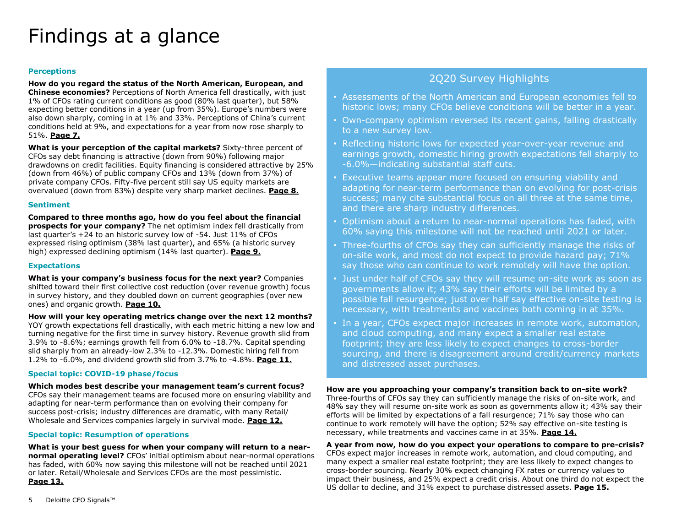### Findings at a glance

#### **Perceptions**

**How do you regard the status of the North American, European, and Chinese economies?** Perceptions of North America fell drastically, with just 1% of CFOs rating current conditions as good (80% last quarter), but 58% expecting better conditions in a year (up from 35%). Europe's numbers were also down sharply, coming in at 1% and 33%. Perceptions of China's current conditions held at 9%, and expectations for a year from now rose sharply to 51%. **Page 7.**

**What is your perception of the capital markets?** Sixty-three percent of CFOs say debt financing is attractive (down from 90%) following major drawdowns on credit facilities. Equity financing is considered attractive by 25% (down from 46%) of public company CFOs and 13% (down from 37%) of private company CFOs. Fifty-five percent still say US equity markets are overvalued (down from 83%) despite very sharp market declines. **Page 8.**

#### **Sentiment**

**Compared to three months ago, how do you feel about the financial prospects for your company?** The net optimism index fell drastically from last quarter's +24 to an historic survey low of -54. Just 11% of CFOs expressed rising optimism (38% last quarter), and 65% (a historic survey high) expressed declining optimism (14% last quarter). **Page 9.**

#### **Expectations**

**What is your company's business focus for the next year?** Companies shifted toward their first collective cost reduction (over revenue growth) focus in survey history, and they doubled down on current geographies (over new ones) and organic growth. **Page 10.**

**How will your key operating metrics change over the next 12 months?**  YOY growth expectations fell drastically, with each metric hitting a new low and turning negative for the first time in survey history. Revenue growth slid from 3.9% to -8.6%; earnings growth fell from 6.0% to -18.7%. Capital spending slid sharply from an already-low 2.3% to -12.3%. Domestic hiring fell from 1.2% to -6.0%, and dividend growth slid from 3.7% to -4.8%. **Page 11.**

#### **Special topic: COVID-19 phase/focus**

**Which modes best describe your management team's current focus?**  CFOs say their management teams are focused more on ensuring viability and adapting for near-term performance than on evolving their company for success post-crisis; industry differences are dramatic, with many Retail/ Wholesale and Services companies largely in survival mode. **Page 12.**

#### **Special topic: Resumption of operations**

**What is your best guess for when your company will return to a nearnormal operating level?** CFOs' initial optimism about near-normal operations has faded, with 60% now saying this milestone will not be reached until 2021 or later. Retail/Wholesale and Services CFOs are the most pessimistic. **Page 13.**

#### 2Q20 Survey Highlights

- Assessments of the North American and European economies fell to historic lows; many CFOs believe conditions will be better in a year.
- Own-company optimism reversed its recent gains, falling drastically to a new survey low.
- Reflecting historic lows for expected year-over-year revenue and earnings growth, domestic hiring growth expectations fell sharply to -6.0%—indicating substantial staff cuts.
- Executive teams appear more focused on ensuring viability and adapting for near-term performance than on evolving for post-crisis success; many cite substantial focus on all three at the same time, and there are sharp industry differences.
- Optimism about a return to near-normal operations has faded, with 60% saying this milestone will not be reached until 2021 or later.
- Three-fourths of CFOs say they can sufficiently manage the risks of on-site work, and most do not expect to provide hazard pay; 71% say those who can continue to work remotely will have the option.
- Just under half of CFOs say they will resume on-site work as soon as governments allow it; 43% say their efforts will be limited by a possible fall resurgence; just over half say effective on-site testing is necessary, with treatments and vaccines both coming in at 35%.
- In a year, CFOs expect major increases in remote work, automation, and cloud computing, and many expect a smaller real estate footprint; they are less likely to expect changes to cross-border sourcing, and there is disagreement around credit/currency markets and distressed asset purchases.

**How are you approaching your company's transition back to on-site work?**  Three-fourths of CFOs say they can sufficiently manage the risks of on-site work, and 48% say they will resume on-site work as soon as governments allow it; 43% say their efforts will be limited by expectations of a fall resurgence; 71% say those who can continue to work remotely will have the option; 52% say effective on-site testing is necessary, while treatments and vaccines came in at 35%. **Page 14.**

**A year from now, how do you expect your operations to compare to pre-crisis?**  CFOs expect major increases in remote work, automation, and cloud computing, and many expect a smaller real estate footprint; they are less likely to expect changes to cross-border sourcing. Nearly 30% expect changing FX rates or currency values to impact their business, and 25% expect a credit crisis. About one third do not expect the US dollar to decline, and 31% expect to purchase distressed assets. **Page 15.**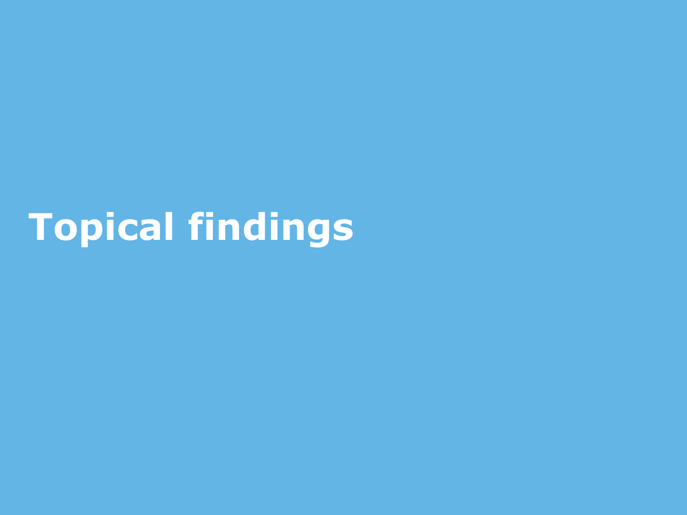# **Topical findings**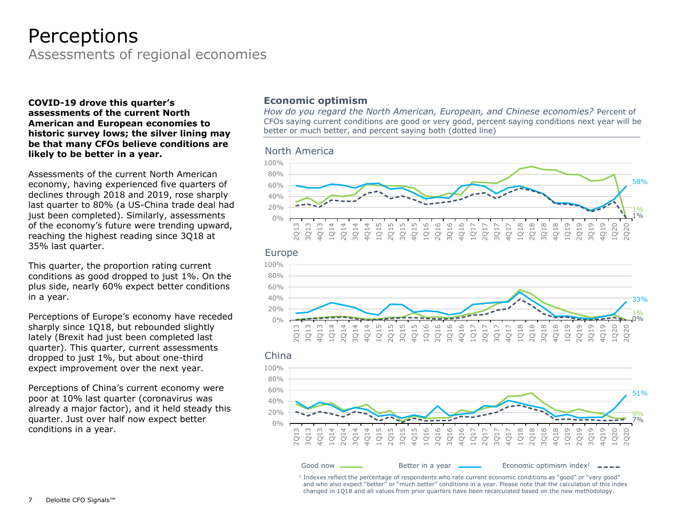### Perceptions

Assessments of regional economies

**COVID-19 drove this quarter's assessments of the current North American and European economies to historic survey lows; the silver lining may be that many CFOs believe conditions are likely to be better in a year.**

Assessments of the current North American economy, having experienced five quarters of declines through 2018 and 2019, rose sharply last quarter to 80% (a US-China trade deal had just been completed). Similarly, assessments of the economy's future were trending upward, reaching the highest reading since 3Q18 at 35% last quarter.

This quarter, the proportion rating current conditions as good dropped to just 1%. On the plus side, nearly 60% expect better conditions in a year.

Perceptions of Europe's economy have receded sharply since 1Q18, but rebounded slightly lately (Brexit had just been completed last quarter). This quarter, current assessments dropped to just 1%, but about one-third expect improvement over the next year.

Perceptions of China's current economy were poor at 10% last quarter (coronavirus was already a major factor), and it held steady this quarter. Just over half now expect better conditions in a year.

#### **Economic optimism**

*How do you regard the North American, European, and Chinese economies?* Percent of CFOs saying current conditions are good or very good, percent saying conditions next year will be better or much better, and percent saying both (dotted line)

#### North America







<sup>1</sup> Indexes reflect the percentage of respondents who rate current economic conditions as "good" or "very good" and who also expect "better" or "much better" conditions in a year. Please note that the calculation of this index changed in 1Q18 and all values from prior quarters have been recalculated based on the new methodology.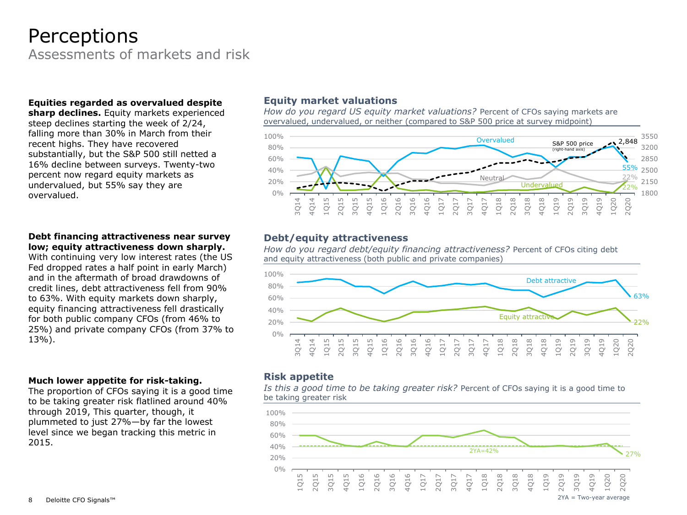### Perceptions

Assessments of markets and risk

#### **Equities regarded as overvalued despite**

**sharp declines.** Equity markets experienced steep declines starting the week of 2/24, falling more than 30% in March from their recent highs. They have recovered substantially, but the S&P 500 still netted a 16% decline between surveys. Twenty-two percent now regard equity markets as undervalued, but 55% say they are overvalued.

#### **Debt financing attractiveness near survey low; equity attractiveness down sharply.**

With continuing very low interest rates (the US Fed dropped rates a half point in early March) and in the aftermath of broad drawdowns of credit lines, debt attractiveness fell from 90% to 63%. With equity markets down sharply, equity financing attractiveness fell drastically for both public company CFOs (from 46% to 25%) and private company CFOs (from 37% to 13%).

#### **Much lower appetite for risk-taking.**

The proportion of CFOs saying it is a good time to be taking greater risk flatlined around 40% through 2019, This quarter, though, it plummeted to just 27%—by far the lowest level since we began tracking this metric in 2015.

#### **Equity market valuations**

*How do you regard US equity market valuations?* Percent of CFOs saying markets are overvalued, undervalued, or neither (compared to S&P 500 price at survey midpoint)



#### **Debt/equity attractiveness**

*How do you regard debt/equity financing attractiveness?* Percent of CFOs citing debt and equity attractiveness (both public and private companies)



#### **Risk appetite**

*Is this a good time to be taking greater risk?* Percent of CFOs saying it is a good time to be taking greater risk

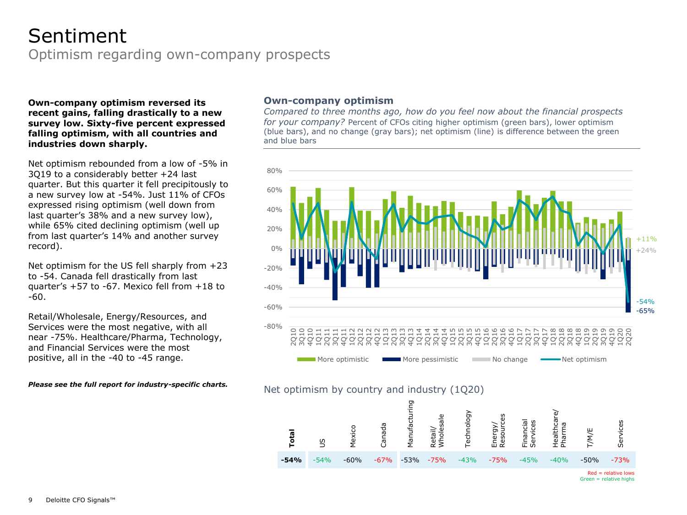### Optimism regarding own-company prospects Sentiment

#### **Own-company optimism reversed its recent gains, falling drastically to a new survey low. Sixty-five percent expressed falling optimism, with all countries and industries down sharply.**

Net optimism rebounded from a low of -5% in 3Q19 to a considerably better +24 last quarter. But this quarter it fell precipitously to a new survey low at -54%. Just 11% of CFOs expressed rising optimism (well down from last quarter's 38% and a new survey low), while 65% cited declining optimism (well up from last quarter's 14% and another survey record).

Net optimism for the US fell sharply from +23 to -54. Canada fell drastically from last quarter's +57 to -67. Mexico fell from +18 to -60.

Retail/Wholesale, Energy/Resources, and Services were the most negative, with all near -75%. Healthcare/Pharma, Technology, and Financial Services were the most positive, all in the -40 to -45 range.

*Please see the full report for industry-specific charts.* 

#### **Own-company optimism**

*Compared to three months ago, how do you feel now about the financial prospects for your company?* Percent of CFOs citing higher optimism (green bars), lower optimism (blue bars), and no change (gray bars); net optimism (line) is difference between the green and blue bars



#### Net optimism by country and industry (1Q20)



 $Red = relative$  lows  $Green = relative hiahs$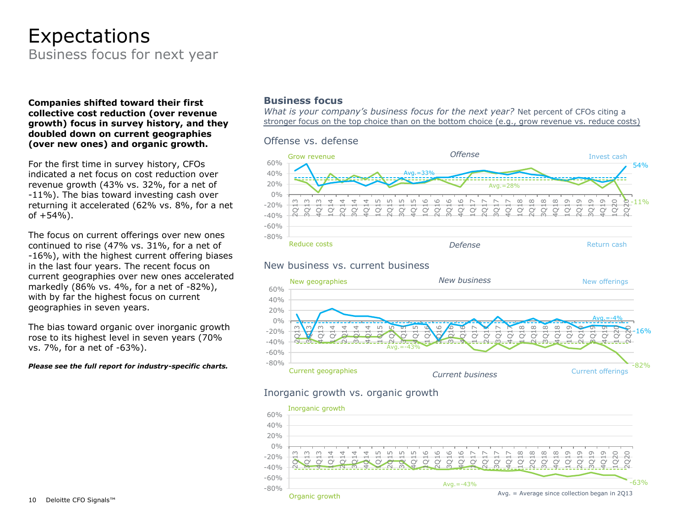### Business focus for next year Expectations

#### **Companies shifted toward their first collective cost reduction (over revenue growth) focus in survey history, and they doubled down on current geographies (over new ones) and organic growth.**

For the first time in survey history, CFOs indicated a net focus on cost reduction over revenue growth (43% vs. 32%, for a net of -11%). The bias toward investing cash over returning it accelerated (62% vs. 8%, for a net of  $+54%$ ).

The focus on current offerings over new ones continued to rise (47% vs. 31%, for a net of -16%), with the highest current offering biases in the last four years. The recent focus on current geographies over new ones accelerated markedly (86% vs. 4%, for a net of -82%), with by far the highest focus on current geographies in seven years.

The bias toward organic over inorganic growth rose to its highest level in seven years (70% vs. 7%, for a net of -63%).

#### *Please see the full report for industry-specific charts.*

#### **Business focus**

*What is your company's business focus for the next year?* Net percent of CFOs citing a stronger focus on the top choice than on the bottom choice (e.g., grow revenue vs. reduce costs)



#### New business vs. current business



#### Inorganic growth vs. organic growth

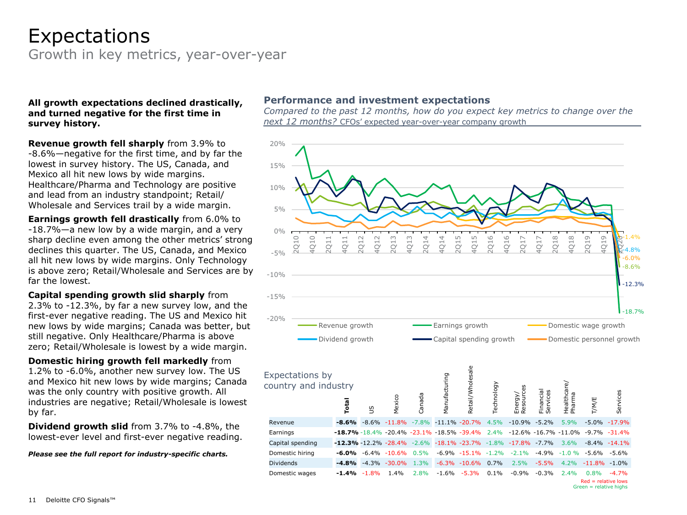### Expectations

Growth in key metrics, year-over-year

#### **All growth expectations declined drastically, and turned negative for the first time in survey history.**

**Revenue growth fell sharply** from 3.9% to -8.6%—negative for the first time, and by far the lowest in survey history. The US, Canada, and Mexico all hit new lows by wide margins. Healthcare/Pharma and Technology are positive and lead from an industry standpoint; Retail/ Wholesale and Services trail by a wide margin.

**Earnings growth fell drastically** from 6.0% to -18.7%—a new low by a wide margin, and a very sharp decline even among the other metrics' strong declines this quarter. The US, Canada, and Mexico all hit new lows by wide margins. Only Technology is above zero; Retail/Wholesale and Services are by far the lowest.

**Capital spending growth slid sharply** from 2.3% to -12.3%, by far a new survey low, and the first-ever negative reading. The US and Mexico hit new lows by wide margins; Canada was better, but still negative. Only Healthcare/Pharma is above zero; Retail/Wholesale is lowest by a wide margin.

**Domestic hiring growth fell markedly** from 1.2% to -6.0%, another new survey low. The US and Mexico hit new lows by wide margins; Canada was the only country with positive growth. All industries are negative; Retail/Wholesale is lowest by far.

**Dividend growth slid** from 3.7% to -4.8%, the lowest-ever level and first-ever negative reading.

*Please see the full report for industry-specific charts.*

#### **Performance and investment expectations**

*Compared to the past 12 months, how do you expect key metrics to change over the next 12 months?* CFOs' expected year-over-year company growth

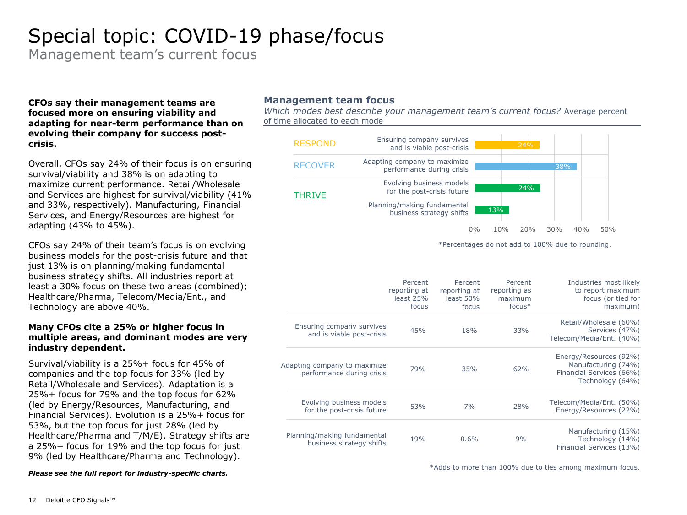### Special topic: COVID-19 phase/focus

Management team's current focus

#### **CFOs say their management teams are focused more on ensuring viability and adapting for near-term performance than on evolving their company for success postcrisis.**

Overall, CFOs say 24% of their focus is on ensuring survival/viability and 38% is on adapting to maximize current performance. Retail/Wholesale and Services are highest for survival/viability (41% and 33%, respectively). Manufacturing, Financial Services, and Energy/Resources are highest for adapting (43% to 45%).

CFOs say 24% of their team's focus is on evolving business models for the post-crisis future and that just 13% is on planning/making fundamental business strategy shifts. All industries report at least a 30% focus on these two areas (combined); Healthcare/Pharma, Telecom/Media/Ent., and Technology are above 40%.

#### **Many CFOs cite a 25% or higher focus in multiple areas, and dominant modes are very industry dependent.**

Survival/viability is a 25%+ focus for 45% of companies and the top focus for 33% (led by Retail/Wholesale and Services). Adaptation is a 25%+ focus for 79% and the top focus for 62% (led by Energy/Resources, Manufacturing, and Financial Services). Evolution is a 25%+ focus for 53%, but the top focus for just 28% (led by Healthcare/Pharma and T/M/E). Strategy shifts are a 25%+ focus for 19% and the top focus for just 9% (led by Healthcare/Pharma and Technology).

#### *Please see the full report for industry-specific charts.*

#### **Management team focus**

*Which modes best describe your management team's current focus?* Average percent of time allocated to each mode



\*Adds to more than 100% due to ties among maximum focus.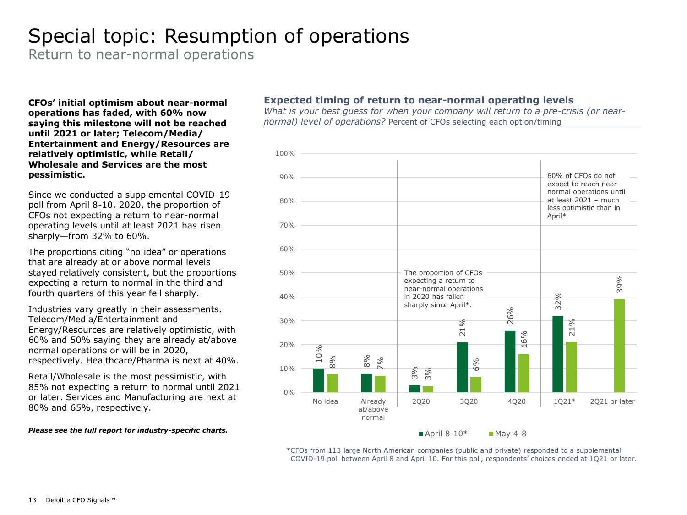### Special topic: Resumption of operations

Return to near-normal operations

**CFOs' initial optimism about near-normal operations has faded, with 60% now saying this milestone will not be reached until 2021 or later; Telecom/Media/ Entertainment and Energy/Resources are relatively optimistic, while Retail/ Wholesale and Services are the most pessimistic.**

Since we conducted a supplemental COVID-19 poll from April 8-10, 2020, the proportion of CFOs not expecting a return to near-normal operating levels until at least 2021 has risen sharply—from 32% to 60%.

The proportions citing "no idea" or operations that are already at or above normal levels stayed relatively consistent, but the proportions expecting a return to normal in the third and fourth quarters of this year fell sharply.

Industries vary greatly in their assessments. Telecom/Media/Entertainment and Energy/Resources are relatively optimistic, with 60% and 50% saying they are already at/above normal operations or will be in 2020, respectively. Healthcare/Pharma is next at 40%.

Retail/Wholesale is the most pessimistic, with 85% not expecting a return to normal until 2021 or later. Services and Manufacturing are next at 80% and 65%, respectively.

#### *Please see the full report for industry-specific charts.*

#### **Expected timing of return to near-normal operating levels**

*What is your best guess for when your company will return to a pre-crisis (or nearnormal) level of operations?* Percent of CFOs selecting each option/timing



 $\blacksquare$  April 8-10\* May 4-8

\*CFOs from 113 large North American companies (public and private) responded to a supplemental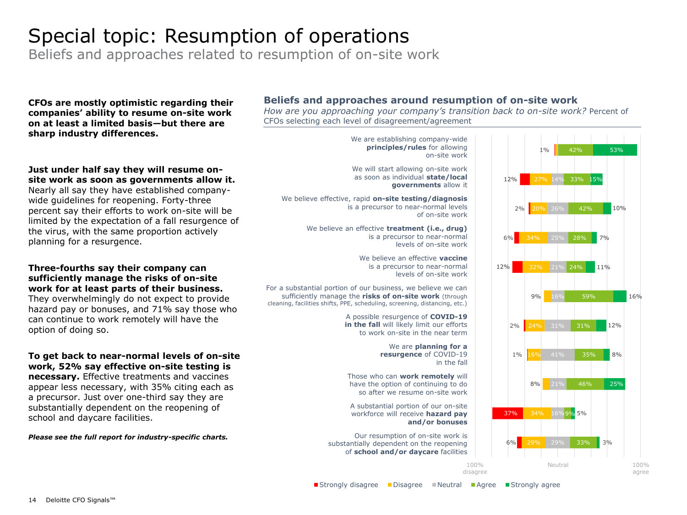### Special topic: Resumption of operations

Beliefs and approaches related to resumption of on-site work

**CFOs are mostly optimistic regarding their companies' ability to resume on-site work on at least a limited basis—but there are sharp industry differences.**

#### **Just under half say they will resume onsite work as soon as governments allow it.**

Nearly all say they have established companywide guidelines for reopening. Forty-three percent say their efforts to work on-site will be limited by the expectation of a fall resurgence of the virus, with the same proportion actively planning for a resurgence.

#### **Three-fourths say their company can sufficiently manage the risks of on-site work for at least parts of their business.**

They overwhelmingly do not expect to provide hazard pay or bonuses, and 71% say those who can continue to work remotely will have the option of doing so.

#### **To get back to near-normal levels of on-site work, 52% say effective on-site testing is**

**necessary.** Effective treatments and vaccines appear less necessary, with 35% citing each as a precursor. Just over one-third say they are substantially dependent on the reopening of school and daycare facilities.

#### *Please see the full report for industry-specific charts.*

#### **Beliefs and approaches around resumption of on-site work**

*How are you approaching your company's transition back to on-site work?* Percent of CFOs selecting each level of disagreement/agreement

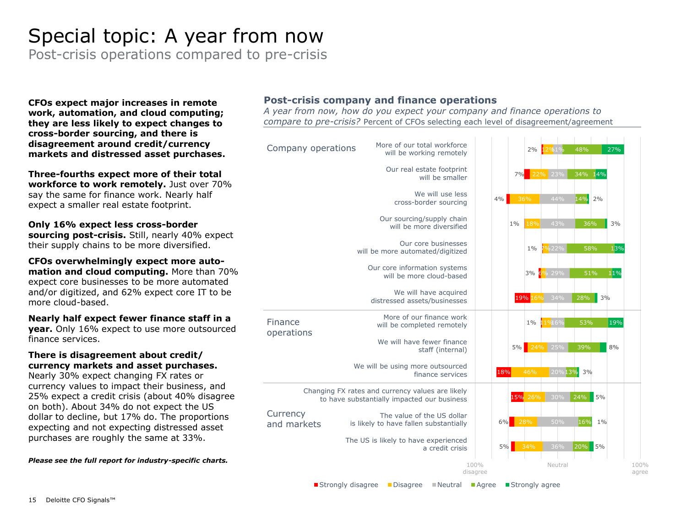### Special topic: A year from now

Post-crisis operations compared to pre-crisis

**CFOs expect major increases in remote work, automation, and cloud computing; they are less likely to expect changes to cross-border sourcing, and there is disagreement around credit/currency markets and distressed asset purchases.**

**Three-fourths expect more of their total workforce to work remotely.** Just over 70% say the same for finance work. Nearly half expect a smaller real estate footprint.

**Only 16% expect less cross-border sourcing post-crisis.** Still, nearly 40% expect their supply chains to be more diversified.

**CFOs overwhelmingly expect more automation and cloud computing.** More than 70% expect core businesses to be more automated and/or digitized, and 62% expect core IT to be more cloud-based.

**Nearly half expect fewer finance staff in a year.** Only 16% expect to use more outsourced finance services.

#### **There is disagreement about credit/ currency markets and asset purchases.**

Nearly 30% expect changing FX rates or currency values to impact their business, and 25% expect a credit crisis (about 40% disagree on both). About 34% do not expect the US dollar to decline, but 17% do. The proportions expecting and not expecting distressed asset purchases are roughly the same at 33%.

*Please see the full report for industry-specific charts.* 

#### **Post-crisis company and finance operations**

*A year from now, how do you expect your company and finance operations to compare to pre-crisis?* Percent of CFOs selecting each level of disagreement/agreement



■Strongly disagree ■Disagree ■Neutral ■Agree ■Strongly agree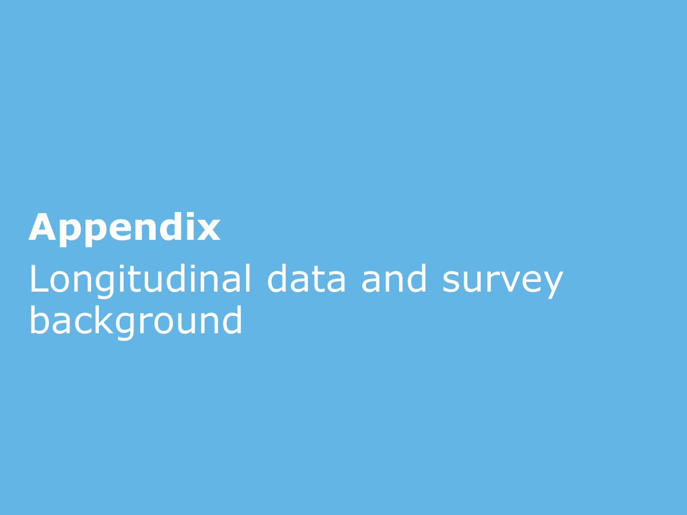# **Appendix** Longitudinal data and survey background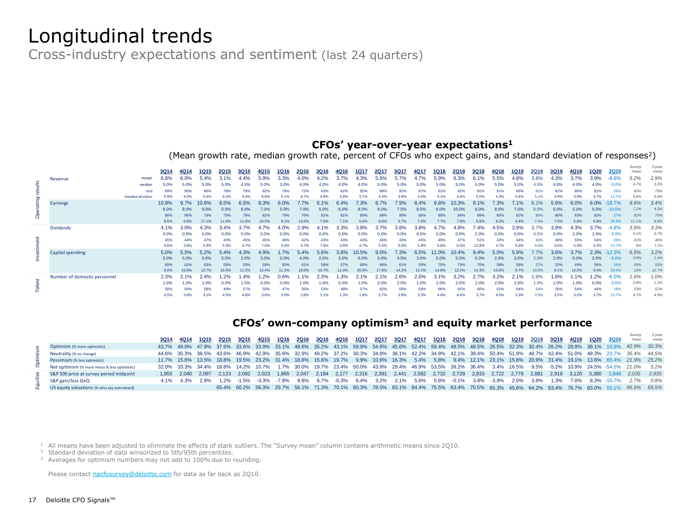### Longitudinal trends

Cross-industry expectations and sentiment (last 24 quarters)

#### **CFOs' year-over-year expectations<sup>1</sup>**

(Mean growth rate, median growth rate, percent of CFOs who expect gains, and standard deviation of responses<sup>2</sup>)

|                   |                                                                       | <b>3Q14</b> | 4Q14        | 1Q15        | 2Q15        | 3Q15        | 4Q15        | 1Q16        | <b>2Q16</b> | 3Q16        | 4Q16        | 1Q17        | <b>2Q17</b> | 3Q17        | 4Q17  | 1Q18            | 2Q18        | 3Q18        | 4Q18        | 1Q19        | <b>2Q19</b> | <b>3Q19</b> | 4Q19        | 1Q20        | <b>2Q20</b>  | Survey<br>mean | 2-year<br>mean |
|-------------------|-----------------------------------------------------------------------|-------------|-------------|-------------|-------------|-------------|-------------|-------------|-------------|-------------|-------------|-------------|-------------|-------------|-------|-----------------|-------------|-------------|-------------|-------------|-------------|-------------|-------------|-------------|--------------|----------------|----------------|
|                   | mear<br>Revenue                                                       | 6.8%        | 6.0%        | 5.4%        | 3.1%        | 4.4%        | 5.9%        | 3.3%        | 4.0%        | 4.2%        | 3.7%        | 4.3%        | 5.6%        | 5.7%        | 4.7%  | 5.9%            | 6.3%        | 6.1%        | 5.5%        | 4.8%        | 3.8%        | 4.3%        | 3.7%        | 3.9%        | $-8.6%$      | 5.2%           | 2.9%           |
| Operating results | mediar                                                                |             | 5.0%        | 5.0%        | 5.0%        | 4.5%        | 5.0%        | 3.0%        | 4.0%        | 4.0%        | 4.0%        | 4.0%        | 5.0%        | 5.0%        | 5.0%  | 5.0%            | 5.0%        | 5.0%        | 5.0%        | 5.0%        | 4.0%        | 4.0%        | 4.0%        | 4.0%        | $-5.0%$      | 4.7%           | 3.3%           |
|                   | %0                                                                    |             | 90%         | 86%         | 78%         | 79%         | 82%         | 78%         | 72%         | 83%         | 82%         | 85%         | 89%         | 92%         | 87%   | 91 <sup>°</sup> | 92%         | 91%         | 91%         | 86%         | 81%         | 82%         | 86%         | 81%         | 28%          | 83%            | 78%            |
|                   | standard deviation                                                    | 5.9%        |             | 6.4%        | 6.3%        | 5.4%        | 6.8%        | 5.1%        |             |             | 3.9%        | 3.7%        | 4.4%        | 3.9%        | 4.0%  |                 | 4.6%        | 5.0%        | 4.3%        | 4.4%        | 5.1%        | 4.9%        | 3.9%        | 4.7%        | 12.7%        | 5.6%           | 5.6%           |
|                   | Earnings                                                              | 10.9%       | 9.7%        | 0.6%        | 6.5%        | 6.5%        | 8.3%        | 6.0%        |             |             | 6.4%        | 7.3%        | 8.7%        | 7.9%        | 8.4%  |                 | 0.3%        | 8.1%        | 7.3%        | 7.1%        | 6.          | 5.6%        | 6.0%        | 6.0%        | $-18.7%$     | 8.6%           | 3.4%           |
|                   |                                                                       | 8.0%        | 8.0%        | 8.0%        | 5.0%        | 8.0%        | 7.0%        | 5.0%        | 7.0%        | 5.0%        | $6.0\%$     | 8.0%        | 8.0%        | 7.5%        | 8.0%  |                 | 10.0%       | 8.0%        | 8.0%        | 7.0%        | $6.0\%$     | 5.0%        | 5.0%        | 5.0%        | $-10.0%$     | 7.2%           | 4.3%           |
|                   |                                                                       | 90%         | 86%         | 79%         | 79%         | 79%         | 82%         | 79%         | 76%         | 81%         | 81%         | 89%         | 88%         | 90%         | 86%   | 88%             | 94%         | 89%         | 85%         | 82%         | 80%         | 80%         | 83%         | 82%         | 27%          | 82%            | 76%            |
|                   |                                                                       | 8.6%        | 6.9%        | 17.1%       | 11.6%       | 11.0%       | 10.5%       | 9.1%        | 13.5%       | 7.0%        | 7.1%        | 5.6%        | 8.6%        | 5.7%        | 7.5%  | 7.7%            | 7.0%        | 5.8%        | 6.2%        | 4.4%        | 7.4%        | 7.0%        | 6.6%        | 6.9%        | 26.9%        | 11.1%          | 8.9%           |
|                   | <b>Dividends</b>                                                      | 4.1%        | 3.0%        | 4.3%        | 3.4%        | 3.7%        |             | 4.0%        | 2.9%        | 4.1%        | 3.3%        | 3.8%        | 3.7%        | 3.8%        | 3.8%  |                 | 1.8%        | 7.4%        | 4.5%        | 3.9%        | 3.7%        | 3.9%        | 4.3%        | 3.7%        | $-4.8%$      | 3.9%<br>0.1%   | 3.3%<br>0.7%   |
|                   |                                                                       | 0.0%        | 0.0%        | 0.0%        | 0.0%        | 0.0%<br>45% | 0.0%<br>45% | 0.0%        | 0.0%        | 0.0%        | 0.0%        | 0.0%        | 0.0%<br>46% | 0.0%        | 0.0%  | 0.0%            | 0.0%<br>47% | 2.0%<br>51% | 0.0%<br>43% | 0.0%<br>44% | 0.5%        | 0.0%        | 2.0%<br>55% | 1.0%<br>54% | 0.0%         | 41%            | 46%            |
|                   |                                                                       | 45%<br>4.8% | 44%<br>3.8% | 47%<br>5.9% | 43%<br>5.3% | 4.7%        | 7.0%        | 46%<br>6.0% | 42%<br>4.7% | 43%<br>7.6% | 43%<br>3.9% | 43%<br>4.7% | 5.5%        | 43%<br>6.0% | 5.8%  | 49%<br>6.6%     | 6.3%        | 12.8%       | 4.7%        | 6.6%        | 50%<br>4.6% | 48%<br>4.6% | 5.5%        | 4.3%        | 26%<br>13.7% | 6%             | 7.1%           |
| Investment        | Capital spending                                                      | 5.0%        | 5.5%        | 5.2%        | 5.4%        | 4.3%        | 4.9%        | 1.7%        | 5.4%        | 5.6%        | 3.6%        | 10.5%       | 9.0%        | 7.3%        | 6.5%  |                 | 10.4%       | 9.4%        | 5.0%        | 5.9%        | 7.7%        | 3.6%        | 3.7%        | 2.3%        | $-12.3%$     | 6.5%           | 3.2%           |
|                   |                                                                       | 5.0%        | 5.0%        | 5.0%        | 5.0%        | 2.0%        | 5.0%        | 0.0%        | 4.0%        | 2.0%        | 3.0%        | 5.0%        | 5.0%        | 4.5%        | 3.0%  | 5.0%            | 5.0%        | 5.0%        | 2.0%        | 3.0%        | 2.0%        | 2.0%        | 0.0%        | 2.0%        | $-5.0%$      | 3.6%           | 1.4%           |
|                   |                                                                       | 60%         | 62%         | 63%         |             | 53%         | 59%         | 50%         | 619         |             |             |             | 66%         | 61%         |       | 70%             | 73%         | 70%         | 58%         |             | 57%         | 53%         | 49%         | 56%         | 26%          | 59%            | 53%            |
|                   |                                                                       | 8.9%        | 10.9%       | 12.7%       | 16.5%       | 11.5%       | 12.4%       | 11.2%       | 16.0%       | 10.7%       | 11.4%       | 20.9%       | 17.8%       | 14.2%       | 12.2% | 14.9%           | 12.2%       | 14.3%       | 10.6%       | 9.7%        | 14.0%       | 9.1%        | 14.0%       | 9.4%        | 20.4%        | 14%            | 12.7%          |
|                   | Number of domestic personnel                                          | 2.3%        |             | 2.4%        | 1.2%        | .4%         | .2%         | 0.6%        |             | 2.3%        | 1.3%        |             |             | 2.6%        | 2.0%  |                 | 3.2%        | 2.7%        | 3.2%        | 2.1%        | 1.9%        | 1.6%        | 1.1%        | 1.2%        | $-6.0%$      | 1.6%           | 1.0%           |
| Talent            |                                                                       | 1.0%        | 1.0%        | 1.0%        | 0.0%        | 1.5%        | 0.0%        | $0.0\%$     | 1.0%        | 1.0%        | 0.0%        | 1.0%        | 2.0%        | 2.0%        | 1.0%  | 2.0%            | 2.0%        | 2.0%        | 2.0%        | 2.0%        | 1.0%        | 1.0%        | 1.0%        | 0.0%        | 0.0%         | 0.9%           | 1.1%           |
|                   |                                                                       | 58%         | 60%         |             | 49%         | 57%         | 50%         |             | 55%         | 53%         |             |             | 62%         | 59%         | 54%   | 66%             | 65%         | 66%         | 61%         | 64%         | 54%         | 56%         | 54%         | 44%         | 19%          | 53%            | 52%            |
|                   |                                                                       | 4.5%        | 3.6%        | 3.1%        | 4.5%        | 4.8%        | 3.6%        | 3.0%        | 3.8%        | 3.1%        | 2.3%        | 1.9%        | 2.7%        | 3.8%        | 3.3%  | 4.4%            | 4.4%        | 3.7%        | 4.5%        | 3.3%        | 3.5%        | 3.5%        | 3.5%        | 3.7%        | 13.7%        | 4.7%           | 4.9%           |
|                   | CFOs' own-company optimism <sup>3</sup> and equity market performance |             |             |             |             |             |             |             |             |             |             |             |             |             |       |                 |             |             |             |             |             |             |             |             |              |                |                |
|                   |                                                                       | 3Q14        | 4Q14        | 1Q15        | 2Q15        | 3Q15        | 4Q15        | 1Q16        | 2Q16        | <b>3Q16</b> | 4Q16        | 1Q17        | <b>2Q17</b> | 3Q17        | 4Q17  | <b>1Q18</b>     | <b>2Q18</b> | <b>3Q18</b> | 4Q18        | 1Q19        | <b>2Q19</b> | 3Q19        | 4Q19        | 1Q20        | <b>2Q20</b>  | Survey<br>mean | 2-year<br>mean |
|                   | Optimism (% more optimistic)                                          | 43.7%       |             | 47.9%       | 37.6%       | 33.6%       | 33.9%       | 33.1%       | 48.6%       | 35.2%       | 43.1%       | 59.9%       | 54.6%       | 45.6%       | 52.4% | 59.4%           | 48.5%       | 48.5%       | 26.5%       | 32.3%       | 30.4%       | 26.2%       | 29.9%       | 38.1%       | 10.9%        | 42.9%          | 30.3%          |
| Optimism          | Neutrality (% no change)                                              | 44.6%       | 35.3%       | 38.5%       | 43.6%       | 46.9%       | 42.9%       | 35.6%       | 32.9%       | 49.2%       | 37.2%       | 30.3%       | 34.8%       | 38.1%       | 42.2% | 34.8%           | 42.1%       | 39.4%       | 50.4%       | 51.9%       | 48.7%       | 42.4%       | 51.0%       | 48.3%       | 23.7%        | 35.4%          | 44.5%          |
|                   | Pessimism (% less optimistic)                                         | 11.7%       | 15.6%       | 13.5%       | 18.8%       | 19.5%       | 23.2%       | 31.4%       | 18.6%       | 15.6%       | 19.7%       | 9.9%        | 10.6%       | 16.3%       | 5.4%  | 5.8%            | 9.4%        | 12.1%       | 23.1%       | 15.8%       | 20.9%       | 31.4%       | 19.1%       | 13.6%       | 65.4%        | 21.9%          | 25.2%          |
|                   | Net optimism (% more minus % less optimistic)                         | 32.0%       | 33.3%       | 34.4%       | 18.8%       | 14.2%       |             | 1.7%        | 30.0%       | 19.7%       | 23.4%       | 50.0%       | 43.9%       | 29.4%       | 46.9% | 53.5%           | 39.2%       | 36.4%       | 3.4%        | 16.5%       | 9.5%        | $-5.2%$     | 10.9%       | 24.5%       | $-54.5%$     | 21.0%          | 5.2%           |
|                   | S&P 500 price at survey period midpoint                               | 1.955       | 2.040       | 2.097       | 2,123       | 2.092       | 2.023       | 1.865       | 2.047       | 2.184       | 2.177       | 2,316       | 2.391       | 2.441       | 2.582 | 2.732           | 2.728       | 2.833       | 2.722       | 2.776       | 2,881       | 2,919       | 3.120       | 3.380       | 2.848        | 2,035          | 2,935          |
|                   | S&P gain/loss QoQ                                                     | 4.1%        | 4.3%        | 2.8%        | 1.2%        | $-1.5%$     | $-3.3%$     | $-7.8%$     | 9.8%        | 6.7%        | $-0.3%$     | 6.4%        | 3.2%        | 2.1%        | 5.8%  | 5.8%            | $-0.1%$     | 3.8%        | $-3.9%$     | 2.0%        | 3.8%        | 1.3%        | 7.0%        | 8.3%        | $-15.7%$     | 2.7%           | 0.8%           |
|                   | US equity valuations (% who say overvalued)                           |             |             |             | 65.4%       | 60.2%       | 56.3%       | 29.7%       | 56.1%       | 71.3%       | 70.1%       | 80.3%       | 78.0%       | 83.1%       | 84.4% | 75.5%           | 63.4%       | 70.5%       | 65.3%       | 45.6%       | 64.2%       | 63.4%       | 76.7%       | 83.0%       | 55.1%        | 66.5%          | 65.5%          |

#### **CFOs' own-company optimism<sup>3</sup> and equity market performance**

|                                               |      | 3Q14 4Q14           | 1Q15                                | <b>2Q15</b> | 3Q15 | 4Q15                                                                                                                                            | 1Q16  | 2Q16              |      |         |      |         |      |      | 3Q16 4Q16 1Q17 2Q17 3Q17 4Q17 1Q18 2Q18 |                |         |       | 3Q18 4Q18 1Q19 | <b>2Q19</b> | 3Q19 | 4Q19 | 1Q20 | - 2Q20 | Survev<br>mean                                                                                                                                              | 2-vear<br>mean |
|-----------------------------------------------|------|---------------------|-------------------------------------|-------------|------|-------------------------------------------------------------------------------------------------------------------------------------------------|-------|-------------------|------|---------|------|---------|------|------|-----------------------------------------|----------------|---------|-------|----------------|-------------|------|------|------|--------|-------------------------------------------------------------------------------------------------------------------------------------------------------------|----------------|
| Optimism (% more optimistic)                  |      |                     |                                     |             |      | 43.7% 49.0% 47.9% 37.6% 33.6% 33.9% 33.1% 48.6% 35.2% 43.1% 59.9% 54.6% 45.6% 52.4% 59.4% 48.5% 48.5% 26.5% 32.3% 30.4% 26.2% 29.9% 38.1% 10.9% |       |                   |      |         |      |         |      |      |                                         |                |         |       |                |             |      |      |      |        | 42.9% 30.3%                                                                                                                                                 |                |
| Neutrality (% no change)                      |      |                     |                                     |             |      |                                                                                                                                                 |       |                   |      |         |      |         |      |      |                                         |                |         |       |                |             |      |      |      |        | 44.6% 35.3% 38.5% 43.6% 46.9% 42.9% 35.6% 32.9% 49.2% 37.2% 30.3% 34.8% 38.1% 42.2% 34.8% 42.1% 39.4% 50.4% 51.9% 48.7% 42.4% 51.0% 48.3% 23.7% 35.4% 44.5% |                |
| Pessimism (% less optimistic)                 |      |                     |                                     |             |      | 11.7% 15.6% 13.5% 18.8% 19.5% 23.2% 31.4% 18.6% 15.6% 19.7%                                                                                     |       |                   |      |         |      |         |      |      |                                         |                |         |       |                |             |      |      |      |        | 9.9% 10.6% 16.3% 5.4% 5.8% 9.4% 12.1% 23.1% 15.8% 20.9% 31.4% 19.1% 13.6% 65.4% 21.9% 25.2%                                                                 |                |
| Net optimism (% more minus % less optimistic) |      |                     | 32.0% 33.3% 34.4% 18.8% 14.2% 10.7% |             |      |                                                                                                                                                 |       |                   |      |         |      |         |      |      |                                         |                |         |       |                |             |      |      |      |        | 1.7% 30.0% 19.7% 23.4% 50.0% 43.9% 29.4% 46.9% 53.5% 39.2% 36.4% 3.4% 16.5% 9.5% -5.2% 10.9% 24.5% -54.5% 21.0%                                             | 5.2%           |
| S&P 500 price at survey period midpoint       |      | $1.955 \quad 2.040$ | 2.097                               |             |      | 2.123 2.092 2.023                                                                                                                               | 1.865 | 2.047 2.184 2.177 |      |         |      |         |      |      | 2.316 2.391 2.441 2.582 2.732 2.728     |                |         |       |                |             |      |      |      |        | 2.833 2.722 2.776 2.881 2.919 3.120 3.380 2.848 2.035                                                                                                       | 2.935          |
| S&P gain/loss QoQ                             | 4.1% | 4.3%                | 2.8%                                |             |      | $1.2\%$ $-1.5\%$ $-3.3\%$ $-7.8\%$                                                                                                              |       | 9.8%              | 6.7% | $-0.3%$ | 6.4% | $3.2\%$ | 2.1% | 5.8% |                                         | $5.8\% -0.1\%$ | $3.8\%$ | -3.9% | 2.0%           | 3.8%        | 1.3% | 7.0% |      |        | 8.3% -15.7% 2.7%                                                                                                                                            | 0.8%           |
| US equity valuations (% who say overvalued)   |      |                     |                                     |             |      | 65.4% 60.2% 56.3% 29.7% 56.1% 71.3% 70.1% 80.3% 78.0% 83.1% 84.4% 75.5% 63.4% 70.5% 65.3% 45.6% 64.2% 63.4% 76.7% 83.0% 55.1%                   |       |                   |      |         |      |         |      |      |                                         |                |         |       |                |             |      |      |      |        | 66.5%                                                                                                                                                       | 65.5%          |

<sup>1</sup> All means have been adjusted to eliminate the effects of stark outliers. The "Survey mean" column contains arithmetic means since 2Q10.

<sup>2</sup> Standard deviation of data winsorized to 5th/95th percentiles.

<sup>3</sup> Averages for optimism numbers may not add to 100% due to rounding.

Please contact [nacfosurvey@deloitte.com](mailto:nacfosurvey@deloitte.com) for data as far back as 2Q10.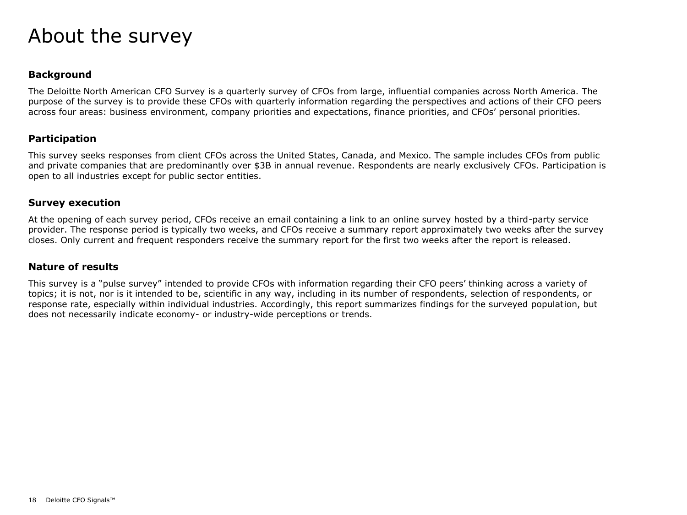### About the survey

#### **Background**

The Deloitte North American CFO Survey is a quarterly survey of CFOs from large, influential companies across North America. The purpose of the survey is to provide these CFOs with quarterly information regarding the perspectives and actions of their CFO peers across four areas: business environment, company priorities and expectations, finance priorities, and CFOs' personal priorities.

#### **Participation**

This survey seeks responses from client CFOs across the United States, Canada, and Mexico. The sample includes CFOs from public and private companies that are predominantly over \$3B in annual revenue. Respondents are nearly exclusively CFOs. Participation is open to all industries except for public sector entities.

#### **Survey execution**

At the opening of each survey period, CFOs receive an email containing a link to an online survey hosted by a third-party service provider. The response period is typically two weeks, and CFOs receive a summary report approximately two weeks after the survey closes. Only current and frequent responders receive the summary report for the first two weeks after the report is released.

#### **Nature of results**

This survey is a "pulse survey" intended to provide CFOs with information regarding their CFO peers' thinking across a variety of topics; it is not, nor is it intended to be, scientific in any way, including in its number of respondents, selection of respondents, or response rate, especially within individual industries. Accordingly, this report summarizes findings for the surveyed population, but does not necessarily indicate economy- or industry-wide perceptions or trends.